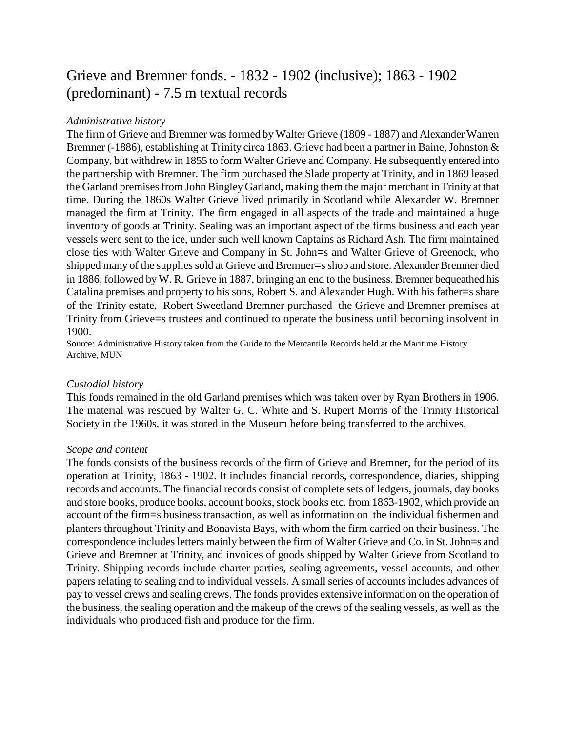# Grieve and Bremner fonds. - 1832 - 1902 (inclusive); 1863 - 1902 (predominant) - 7.5 m textual records

#### *Administrative history*

The firm of Grieve and Bremner was formed by Walter Grieve (1809 - 1887) and Alexander Warren Bremner (-1886), establishing at Trinity circa 1863. Grieve had been a partner in Baine, Johnston & Company, but withdrew in 1855 to form Walter Grieve and Company. He subsequently entered into the partnership with Bremner. The firm purchased the Slade property at Trinity, and in 1869 leased the Garland premises from John Bingley Garland, making them the major merchant in Trinity at that time. During the 1860s Walter Grieve lived primarily in Scotland while Alexander W. Bremner managed the firm at Trinity. The firm engaged in all aspects of the trade and maintained a huge inventory of goods at Trinity. Sealing was an important aspect of the firms business and each year vessels were sent to the ice, under such well known Captains as Richard Ash. The firm maintained close ties with Walter Grieve and Company in St. John=s and Walter Grieve of Greenock, who shipped many of the supplies sold at Grieve and Bremner=s shop and store. Alexander Bremner died in 1886, followed by W. R. Grieve in 1887, bringing an end to the business. Bremner bequeathed his Catalina premises and property to his sons, Robert S. and Alexander Hugh. With his father=s share of the Trinity estate, Robert Sweetland Bremner purchased the Grieve and Bremner premises at Trinity from Grieve=s trustees and continued to operate the business until becoming insolvent in 1900.

Source: Administrative History taken from the Guide to the Mercantile Records held at the Maritime History Archive, MUN

#### *Custodial history*

This fonds remained in the old Garland premises which was taken over by Ryan Brothers in 1906. The material was rescued by Walter G. C. White and S. Rupert Morris of the Trinity Historical Society in the 1960s, it was stored in the Museum before being transferred to the archives.

#### *Scope and content*

The fonds consists of the business records of the firm of Grieve and Bremner, for the period of its operation at Trinity, 1863 - 1902. It includes financial records, correspondence, diaries, shipping records and accounts. The financial records consist of complete sets of ledgers, journals, day books and store books, produce books, account books, stock books etc. from 1863-1902, which provide an account of the firm=s business transaction, as well as information on the individual fishermen and planters throughout Trinity and Bonavista Bays, with whom the firm carried on their business. The correspondence includes letters mainly between the firm of Walter Grieve and Co. in St. John=s and Grieve and Bremner at Trinity, and invoices of goods shipped by Walter Grieve from Scotland to Trinity. Shipping records include charter parties, sealing agreements, vessel accounts, and other papers relating to sealing and to individual vessels. A small series of accounts includes advances of pay to vessel crews and sealing crews. The fonds provides extensive information on the operation of the business, the sealing operation and the makeup of the crews of the sealing vessels, as well as the individuals who produced fish and produce for the firm.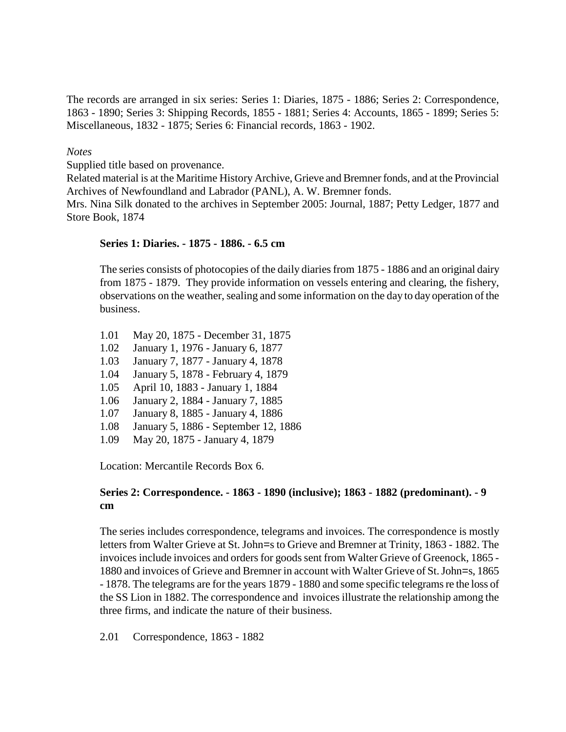The records are arranged in six series: Series 1: Diaries, 1875 - 1886; Series 2: Correspondence, 1863 - 1890; Series 3: Shipping Records, 1855 - 1881; Series 4: Accounts, 1865 - 1899; Series 5: Miscellaneous, 1832 - 1875; Series 6: Financial records, 1863 - 1902.

#### *Notes*

Supplied title based on provenance.

Related material is at the Maritime History Archive, Grieve and Bremner fonds, and at the Provincial Archives of Newfoundland and Labrador (PANL), A. W. Bremner fonds.

Mrs. Nina Silk donated to the archives in September 2005: Journal, 1887; Petty Ledger, 1877 and Store Book, 1874

#### **Series 1: Diaries. - 1875 - 1886. - 6.5 cm**

The series consists of photocopies of the daily diaries from 1875 - 1886 and an original dairy from 1875 - 1879. They provide information on vessels entering and clearing, the fishery, observations on the weather, sealing and some information on the day to day operation of the business.

- 1.01 May 20, 1875 December 31, 1875
- 1.02 January 1, 1976 January 6, 1877
- 1.03 January 7, 1877 January 4, 1878
- 1.04 January 5, 1878 February 4, 1879
- 1.05 April 10, 1883 January 1, 1884
- 1.06 January 2, 1884 January 7, 1885
- 1.07 January 8, 1885 January 4, 1886
- 1.08 January 5, 1886 September 12, 1886
- 1.09 May 20, 1875 January 4, 1879

Location: Mercantile Records Box 6.

#### **Series 2: Correspondence. - 1863 - 1890 (inclusive); 1863 - 1882 (predominant). - 9 cm**

The series includes correspondence, telegrams and invoices. The correspondence is mostly letters from Walter Grieve at St. John=s to Grieve and Bremner at Trinity, 1863 - 1882. The invoices include invoices and orders for goods sent from Walter Grieve of Greenock, 1865 - 1880 and invoices of Grieve and Bremner in account with Walter Grieve of St. John=s, 1865 - 1878. The telegrams are for the years 1879 - 1880 and some specific telegrams re the loss of the SS Lion in 1882. The correspondence and invoices illustrate the relationship among the three firms, and indicate the nature of their business.

2.01 Correspondence, 1863 - 1882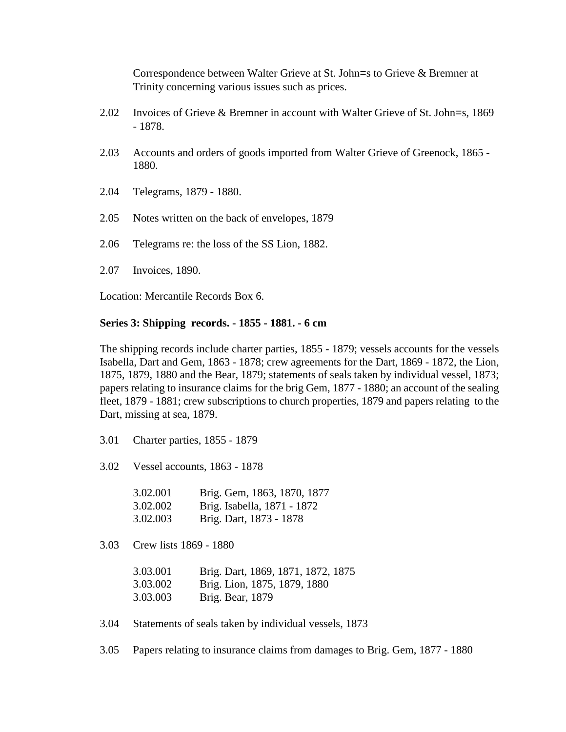Correspondence between Walter Grieve at St. John=s to Grieve & Bremner at Trinity concerning various issues such as prices.

- 2.02 Invoices of Grieve & Bremner in account with Walter Grieve of St. John=s, 1869 - 1878.
- 2.03 Accounts and orders of goods imported from Walter Grieve of Greenock, 1865 1880.
- 2.04 Telegrams, 1879 1880.
- 2.05 Notes written on the back of envelopes, 1879
- 2.06 Telegrams re: the loss of the SS Lion, 1882.
- 2.07 Invoices, 1890.

Location: Mercantile Records Box 6.

### **Series 3: Shipping records. - 1855 - 1881. - 6 cm**

The shipping records include charter parties, 1855 - 1879; vessels accounts for the vessels Isabella, Dart and Gem, 1863 - 1878; crew agreements for the Dart, 1869 - 1872, the Lion, 1875, 1879, 1880 and the Bear, 1879; statements of seals taken by individual vessel, 1873; papers relating to insurance claims for the brig Gem, 1877 - 1880; an account of the sealing fleet, 1879 - 1881; crew subscriptions to church properties, 1879 and papers relating to the Dart, missing at sea, 1879.

- 3.01 Charter parties, 1855 1879
- 3.02 Vessel accounts, 1863 1878

| 3.02.001 | Brig. Gem, 1863, 1870, 1877 |
|----------|-----------------------------|
| 3.02.002 | Brig. Isabella, 1871 - 1872 |
| 3.02.003 | Brig. Dart, 1873 - 1878     |

3.03 Crew lists 1869 - 1880

| 3.03.001 | Brig. Dart, 1869, 1871, 1872, 1875 |
|----------|------------------------------------|
| 3.03.002 | Brig. Lion, 1875, 1879, 1880       |
| 3.03.003 | Brig. Bear, 1879                   |

3.04 Statements of seals taken by individual vessels, 1873

3.05 Papers relating to insurance claims from damages to Brig. Gem, 1877 - 1880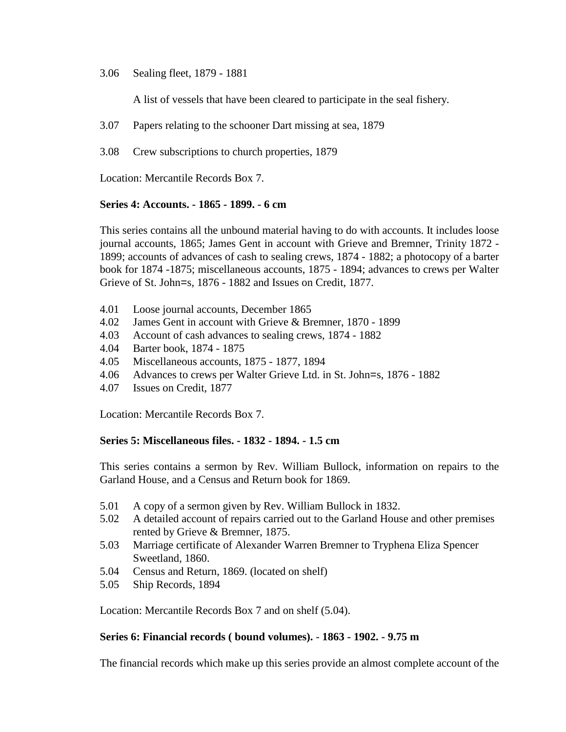#### 3.06 Sealing fleet, 1879 - 1881

A list of vessels that have been cleared to participate in the seal fishery.

- 3.07 Papers relating to the schooner Dart missing at sea, 1879
- 3.08 Crew subscriptions to church properties, 1879

Location: Mercantile Records Box 7.

#### **Series 4: Accounts. - 1865 - 1899. - 6 cm**

This series contains all the unbound material having to do with accounts. It includes loose journal accounts, 1865; James Gent in account with Grieve and Bremner, Trinity 1872 - 1899; accounts of advances of cash to sealing crews, 1874 - 1882; a photocopy of a barter book for 1874 -1875; miscellaneous accounts, 1875 - 1894; advances to crews per Walter Grieve of St. John=s, 1876 - 1882 and Issues on Credit, 1877.

- 4.01 Loose journal accounts, December 1865
- 4.02 James Gent in account with Grieve & Bremner, 1870 1899
- 4.03 Account of cash advances to sealing crews, 1874 1882
- 4.04 Barter book, 1874 1875
- 4.05 Miscellaneous accounts, 1875 1877, 1894
- 4.06 Advances to crews per Walter Grieve Ltd. in St. John=s, 1876 1882<br>4.07 Issues on Credit. 1877
- Issues on Credit, 1877

Location: Mercantile Records Box 7.

## **Series 5: Miscellaneous files. - 1832 - 1894. - 1.5 cm**

This series contains a sermon by Rev. William Bullock, information on repairs to the Garland House, and a Census and Return book for 1869.

- 5.01 A copy of a sermon given by Rev. William Bullock in 1832.
- 5.02 A detailed account of repairs carried out to the Garland House and other premises rented by Grieve & Bremner, 1875.
- 5.03 Marriage certificate of Alexander Warren Bremner to Tryphena Eliza Spencer Sweetland, 1860.
- 5.04 Census and Return, 1869. (located on shelf)
- 5.05 Ship Records, 1894

Location: Mercantile Records Box 7 and on shelf (5.04).

#### **Series 6: Financial records ( bound volumes).** - **1863 - 1902. - 9.75 m**

The financial records which make up this series provide an almost complete account of the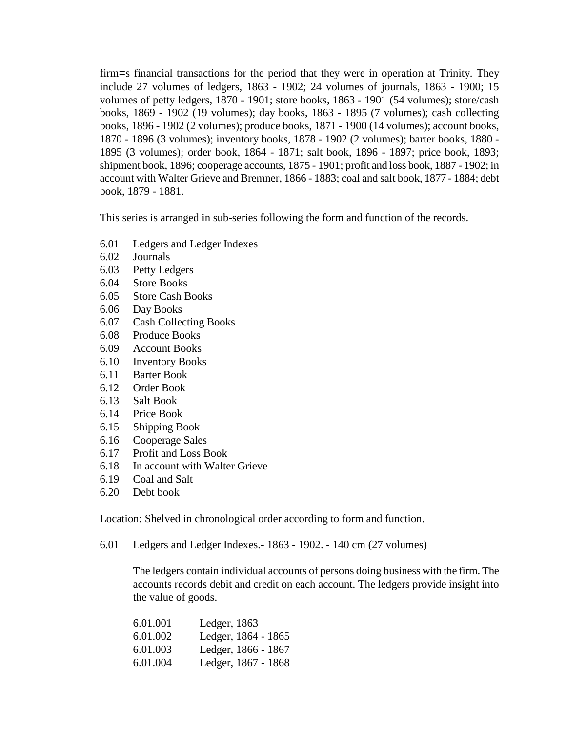firm=s financial transactions for the period that they were in operation at Trinity. They include 27 volumes of ledgers, 1863 - 1902; 24 volumes of journals, 1863 - 1900; 15 volumes of petty ledgers, 1870 - 1901; store books, 1863 - 1901 (54 volumes); store/cash books, 1869 - 1902 (19 volumes); day books, 1863 - 1895 (7 volumes); cash collecting books, 1896 - 1902 (2 volumes); produce books, 1871 - 1900 (14 volumes); account books, 1870 - 1896 (3 volumes); inventory books, 1878 - 1902 (2 volumes); barter books, 1880 - 1895 (3 volumes); order book, 1864 - 1871; salt book, 1896 - 1897; price book, 1893; shipment book, 1896; cooperage accounts, 1875 - 1901; profit and loss book, 1887 - 1902; in account with Walter Grieve and Bremner, 1866 - 1883; coal and salt book, 1877 - 1884; debt book, 1879 - 1881.

This series is arranged in sub-series following the form and function of the records.

- 6.01 Ledgers and Ledger Indexes
- 6.02 Journals
- 6.03 Petty Ledgers
- 6.04 Store Books
- 6.05 Store Cash Books
- 6.06 Day Books
- 6.07 Cash Collecting Books
- 6.08 Produce Books
- 6.09 Account Books
- 6.10 Inventory Books
- 6.11 Barter Book
- 6.12 Order Book
- 6.13 Salt Book
- 6.14 Price Book
- 6.15 Shipping Book
- 6.16 Cooperage Sales
- 6.17 Profit and Loss Book
- 6.18 In account with Walter Grieve
- 6.19 Coal and Salt
- 6.20 Debt book

Location: Shelved in chronological order according to form and function.

6.01 Ledgers and Ledger Indexes.- 1863 - 1902. - 140 cm (27 volumes)

The ledgers contain individual accounts of persons doing business with the firm. The accounts records debit and credit on each account. The ledgers provide insight into the value of goods.

| 6.01.001 | Ledger, 1863        |
|----------|---------------------|
| 6.01.002 | Ledger, 1864 - 1865 |
| 6.01.003 | Ledger, 1866 - 1867 |
| 6.01.004 | Ledger, 1867 - 1868 |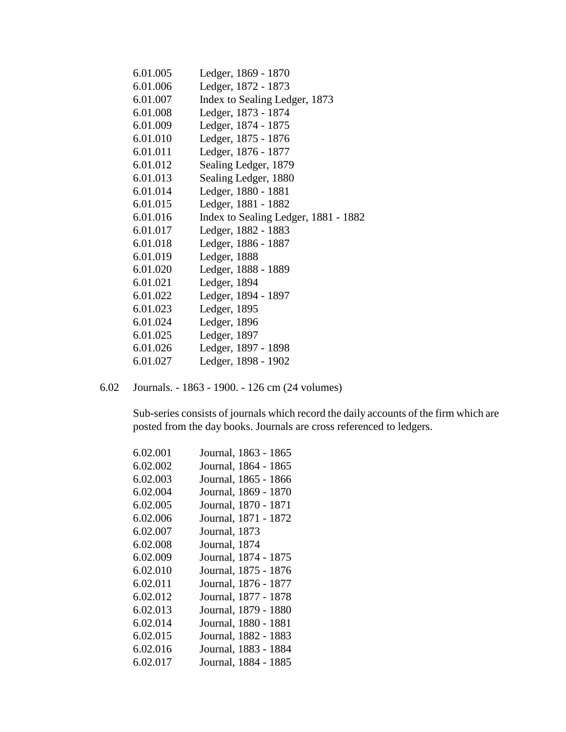| 6.01.005 | Ledger, 1869 - 1870                  |
|----------|--------------------------------------|
| 6.01.006 | Ledger, 1872 - 1873                  |
| 6.01.007 | Index to Sealing Ledger, 1873        |
| 6.01.008 | Ledger, 1873 - 1874                  |
| 6.01.009 | Ledger, 1874 - 1875                  |
| 6.01.010 | Ledger, 1875 - 1876                  |
| 6.01.011 | Ledger, 1876 - 1877                  |
| 6.01.012 | Sealing Ledger, 1879                 |
| 6.01.013 | Sealing Ledger, 1880                 |
| 6.01.014 | Ledger, 1880 - 1881                  |
| 6.01.015 | Ledger, 1881 - 1882                  |
| 6.01.016 | Index to Sealing Ledger, 1881 - 1882 |
| 6.01.017 | Ledger, 1882 - 1883                  |
| 6.01.018 | Ledger, 1886 - 1887                  |
| 6.01.019 | Ledger, 1888                         |
| 6.01.020 | Ledger, 1888 - 1889                  |
| 6.01.021 | Ledger, 1894                         |
| 6.01.022 | Ledger, 1894 - 1897                  |
| 6.01.023 | Ledger, 1895                         |
| 6.01.024 | Ledger, 1896                         |
| 6.01.025 | Ledger, 1897                         |
| 6.01.026 | Ledger, 1897 - 1898                  |
| 6.01.027 | Ledger, 1898 - 1902                  |

6.02 Journals. - 1863 - 1900. - 126 cm (24 volumes)

Sub-series consists of journals which record the daily accounts of the firm which are posted from the day books. Journals are cross referenced to ledgers.

| 6.02.001 | Journal, 1863 - 1865 |
|----------|----------------------|
| 6.02.002 | Journal, 1864 - 1865 |
| 6.02.003 | Journal, 1865 - 1866 |
| 6.02.004 | Journal, 1869 - 1870 |
| 6.02.005 | Journal, 1870 - 1871 |
| 6.02.006 | Journal, 1871 - 1872 |
| 6.02.007 | Journal, 1873        |
| 6.02.008 | Journal, 1874        |
| 6.02.009 | Journal, 1874 - 1875 |
| 6.02.010 | Journal, 1875 - 1876 |
| 6.02.011 | Journal, 1876 - 1877 |
| 6.02.012 | Journal, 1877 - 1878 |
| 6.02.013 | Journal, 1879 - 1880 |
| 6.02.014 | Journal, 1880 - 1881 |
| 6.02.015 | Journal, 1882 - 1883 |
| 6.02.016 | Journal, 1883 - 1884 |
| 6.02.017 | Journal, 1884 - 1885 |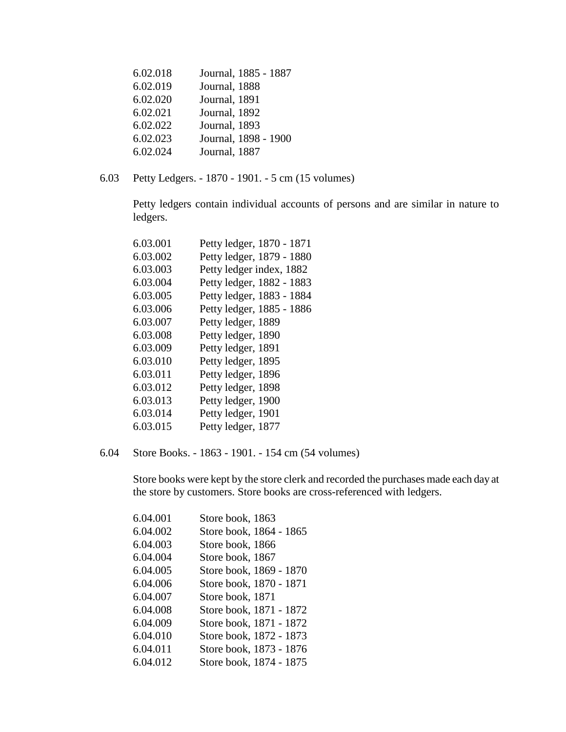| 6.02.018 | Journal, 1885 - 1887 |
|----------|----------------------|
| 6.02.019 | Journal, 1888        |
| 6.02.020 | Journal, 1891        |
| 6.02.021 | Journal, 1892        |
| 6.02.022 | Journal, 1893        |
| 6.02.023 | Journal, 1898 - 1900 |
| 6.02.024 | Journal, 1887        |

6.03 Petty Ledgers. - 1870 - 1901. - 5 cm (15 volumes)

Petty ledgers contain individual accounts of persons and are similar in nature to ledgers.

| 6.03.001 | Petty ledger, 1870 - 1871 |
|----------|---------------------------|
| 6.03.002 | Petty ledger, 1879 - 1880 |
| 6.03.003 | Petty ledger index, 1882  |
| 6.03.004 | Petty ledger, 1882 - 1883 |
| 6.03.005 | Petty ledger, 1883 - 1884 |
| 6.03.006 | Petty ledger, 1885 - 1886 |
| 6.03.007 | Petty ledger, 1889        |
| 6.03.008 | Petty ledger, 1890        |
| 6.03.009 | Petty ledger, 1891        |
| 6.03.010 | Petty ledger, 1895        |
| 6.03.011 | Petty ledger, 1896        |
| 6.03.012 | Petty ledger, 1898        |
| 6.03.013 | Petty ledger, 1900        |
| 6.03.014 | Petty ledger, 1901        |
| 6.03.015 | Petty ledger, 1877        |

6.04 Store Books. - 1863 - 1901. - 154 cm (54 volumes)

Store books were kept by the store clerk and recorded the purchases made each day at the store by customers. Store books are cross-referenced with ledgers.

| 6.04.001 | Store book, 1863        |
|----------|-------------------------|
| 6.04.002 | Store book, 1864 - 1865 |
| 6.04.003 | Store book, 1866        |
| 6.04.004 | Store book, 1867        |
| 6.04.005 | Store book, 1869 - 1870 |
| 6.04.006 | Store book, 1870 - 1871 |
| 6.04.007 | Store book, 1871        |
| 6.04.008 | Store book, 1871 - 1872 |
| 6.04.009 | Store book, 1871 - 1872 |
| 6.04.010 | Store book, 1872 - 1873 |
| 6.04.011 | Store book, 1873 - 1876 |
| 6.04.012 | Store book, 1874 - 1875 |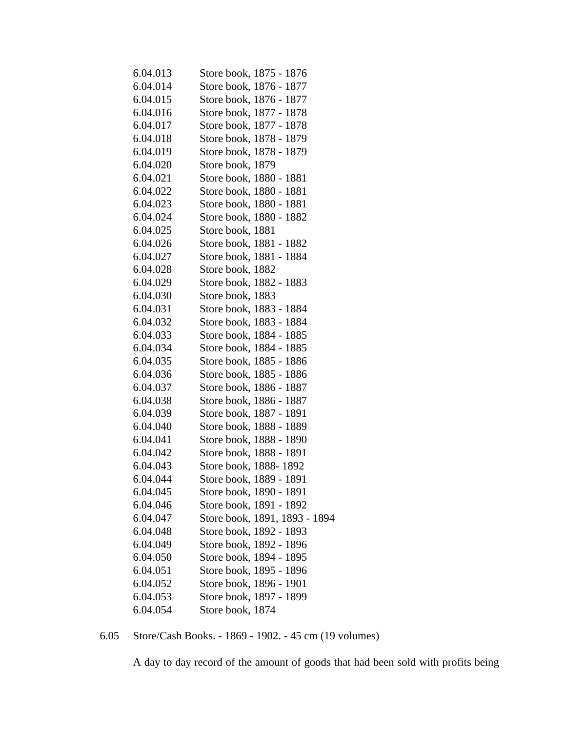| 6.04.013 | Store book, 1875 - 1876       |
|----------|-------------------------------|
| 6.04.014 | Store book, 1876 - 1877       |
| 6.04.015 | Store book, 1876 - 1877       |
| 6.04.016 | Store book, 1877 - 1878       |
| 6.04.017 | Store book, 1877 - 1878       |
| 6.04.018 | Store book, 1878 - 1879       |
| 6.04.019 | Store book, 1878 - 1879       |
| 6.04.020 | Store book, 1879              |
| 6.04.021 | Store book, 1880 - 1881       |
| 6.04.022 | Store book, 1880 - 1881       |
| 6.04.023 | Store book, 1880 - 1881       |
| 6.04.024 | Store book, 1880 - 1882       |
| 6.04.025 | Store book, 1881              |
| 6.04.026 | Store book, 1881 - 1882       |
| 6.04.027 | Store book, 1881 - 1884       |
| 6.04.028 | Store book, 1882              |
| 6.04.029 | Store book, 1882 - 1883       |
| 6.04.030 | Store book, 1883              |
| 6.04.031 | Store book, 1883 - 1884       |
| 6.04.032 | Store book, 1883 - 1884       |
| 6.04.033 | Store book, 1884 - 1885       |
| 6.04.034 | Store book, 1884 - 1885       |
| 6.04.035 | Store book, 1885 - 1886       |
| 6.04.036 | Store book, 1885 - 1886       |
| 6.04.037 | Store book, 1886 - 1887       |
| 6.04.038 | Store book, 1886 - 1887       |
| 6.04.039 | Store book, 1887 - 1891       |
| 6.04.040 | Store book, 1888 - 1889       |
| 6.04.041 | Store book, 1888 - 1890       |
| 6.04.042 | Store book, 1888 - 1891       |
| 6.04.043 | Store book, 1888-1892         |
| 6.04.044 | Store book, 1889 - 1891       |
| 6.04.045 | Store book, 1890 - 1891       |
| 6.04.046 | Store book, 1891 - 1892       |
| 6.04.047 | Store book, 1891, 1893 - 1894 |
| 6.04.048 | Store book, 1892 - 1893       |
| 6.04.049 | Store book, 1892 - 1896       |
| 6.04.050 | Store book, 1894 - 1895       |
| 6.04.051 | Store book, 1895 - 1896       |
| 6.04.052 | Store book, 1896 - 1901       |
| 6.04.053 | Store book, 1897 - 1899       |
| 6.04.054 | Store book, 1874              |

6.05 Store/Cash Books. - 1869 - 1902. - 45 cm (19 volumes)

A day to day record of the amount of goods that had been sold with profits being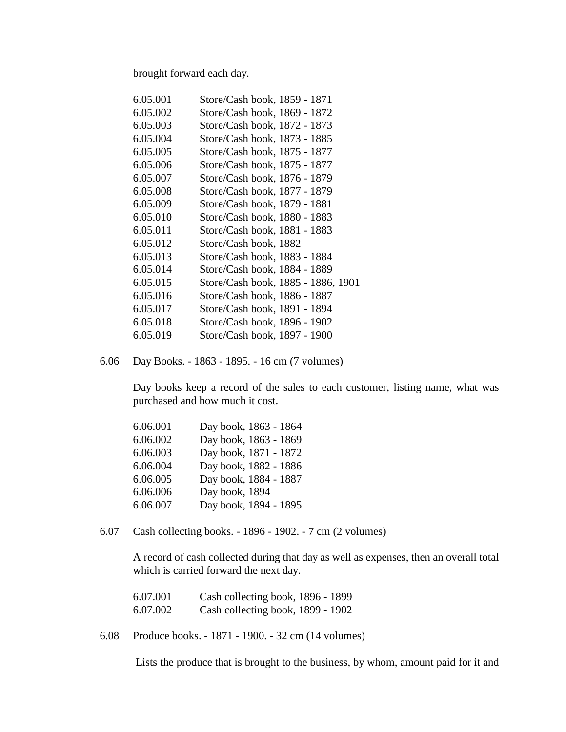brought forward each day.

| 6.05.001 | Store/Cash book, 1859 - 1871       |
|----------|------------------------------------|
| 6.05.002 | Store/Cash book, 1869 - 1872       |
| 6.05.003 | Store/Cash book, 1872 - 1873       |
| 6.05.004 | Store/Cash book, 1873 - 1885       |
| 6.05.005 | Store/Cash book, 1875 - 1877       |
| 6.05.006 | Store/Cash book, 1875 - 1877       |
| 6.05.007 | Store/Cash book, 1876 - 1879       |
| 6.05.008 | Store/Cash book, 1877 - 1879       |
| 6.05.009 | Store/Cash book, 1879 - 1881       |
| 6.05.010 | Store/Cash book, 1880 - 1883       |
| 6.05.011 | Store/Cash book, 1881 - 1883       |
| 6.05.012 | Store/Cash book, 1882              |
| 6.05.013 | Store/Cash book, 1883 - 1884       |
| 6.05.014 | Store/Cash book, 1884 - 1889       |
| 6.05.015 | Store/Cash book, 1885 - 1886, 1901 |
| 6.05.016 | Store/Cash book, 1886 - 1887       |
| 6.05.017 | Store/Cash book, 1891 - 1894       |
| 6.05.018 | Store/Cash book, 1896 - 1902       |
| 6.05.019 | Store/Cash book, 1897 - 1900       |
|          |                                    |

6.06 Day Books. - 1863 - 1895. - 16 cm (7 volumes)

Day books keep a record of the sales to each customer, listing name, what was purchased and how much it cost.

| 6.06.001 | Day book, 1863 - 1864 |
|----------|-----------------------|
| 6.06.002 | Day book, 1863 - 1869 |
| 6.06.003 | Day book, 1871 - 1872 |
| 6.06.004 | Day book, 1882 - 1886 |
| 6.06.005 | Day book, 1884 - 1887 |
| 6.06.006 | Day book, 1894        |
| 6.06.007 | Day book, 1894 - 1895 |

6.07 Cash collecting books. - 1896 - 1902. - 7 cm (2 volumes)

A record of cash collected during that day as well as expenses, then an overall total which is carried forward the next day.

| 6.07.001 | Cash collecting book, 1896 - 1899 |  |
|----------|-----------------------------------|--|
| 6.07.002 | Cash collecting book, 1899 - 1902 |  |

6.08 Produce books. - 1871 - 1900. - 32 cm (14 volumes)

Lists the produce that is brought to the business, by whom, amount paid for it and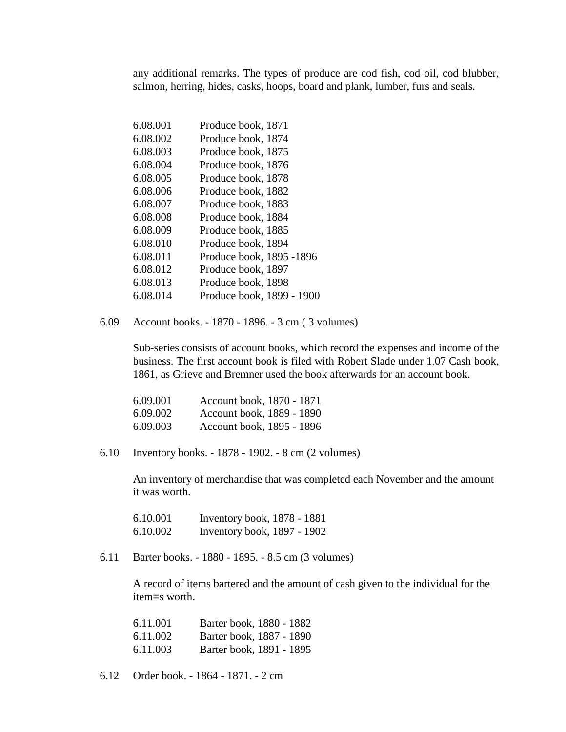any additional remarks. The types of produce are cod fish, cod oil, cod blubber, salmon, herring, hides, casks, hoops, board and plank, lumber, furs and seals.

| 6.08.001 | Produce book, 1871        |
|----------|---------------------------|
| 6.08.002 | Produce book, 1874        |
| 6.08.003 | Produce book, 1875        |
| 6.08.004 | Produce book, 1876        |
| 6.08.005 | Produce book, 1878        |
| 6.08.006 | Produce book, 1882        |
| 6.08.007 | Produce book, 1883        |
| 6.08.008 | Produce book, 1884        |
| 6.08.009 | Produce book, 1885        |
| 6.08.010 | Produce book, 1894        |
| 6.08.011 | Produce book, 1895 -1896  |
| 6.08.012 | Produce book, 1897        |
| 6.08.013 | Produce book, 1898        |
| 6.08.014 | Produce book, 1899 - 1900 |

6.09 Account books. - 1870 - 1896. - 3 cm ( 3 volumes)

Sub-series consists of account books, which record the expenses and income of the business. The first account book is filed with Robert Slade under 1.07 Cash book, 1861, as Grieve and Bremner used the book afterwards for an account book.

| 6.09.001 | Account book, 1870 - 1871 |
|----------|---------------------------|
| 6.09.002 | Account book, 1889 - 1890 |
| 6.09.003 | Account book, 1895 - 1896 |

6.10 Inventory books. - 1878 - 1902. - 8 cm (2 volumes)

An inventory of merchandise that was completed each November and the amount it was worth.

| 6.10.001 | Inventory book, 1878 - 1881 |  |
|----------|-----------------------------|--|
| 6.10.002 | Inventory book, 1897 - 1902 |  |

6.11 Barter books. - 1880 - 1895. - 8.5 cm (3 volumes)

A record of items bartered and the amount of cash given to the individual for the item=s worth.

| 6.11.001 | Barter book, 1880 - 1882 |
|----------|--------------------------|
| 6.11.002 | Barter book, 1887 - 1890 |
| 6.11.003 | Barter book, 1891 - 1895 |

6.12 Order book. - 1864 - 1871. - 2 cm